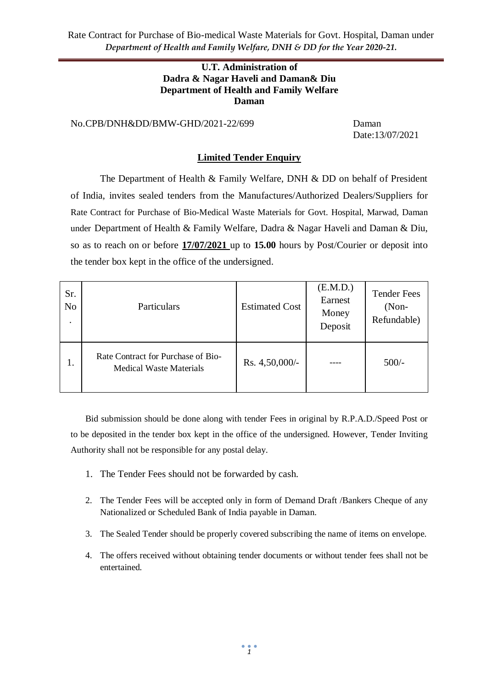Rate Contract for Purchase of Bio-medical Waste Materials for Govt. Hospital, Daman under *Department of Health and Family Welfare, DNH & DD for the Year 2020-21.*

#### **U.T. Administration of Dadra & Nagar Haveli and Daman& Diu Department of Health and Family Welfare Daman**

No.CPB/DNH&DD/BMW-GHD/2021-22/699 Daman

Date:13/07/2021

#### **Limited Tender Enquiry**

The Department of Health & Family Welfare, DNH & DD on behalf of President of India, invites sealed tenders from the Manufactures/Authorized Dealers/Suppliers for Rate Contract for Purchase of Bio-Medical Waste Materials for Govt. Hospital, Marwad, Daman under Department of Health & Family Welfare, Dadra & Nagar Haveli and Daman & Diu, so as to reach on or before **17/07/2021** up to **15.00** hours by Post/Courier or deposit into the tender box kept in the office of the undersigned.

| Sr.<br>No | Particulars                                                          | <b>Estimated Cost</b> | (E.M.D.)<br>Earnest<br>Money<br>Deposit | <b>Tender Fees</b><br>$(Non-$<br>Refundable) |
|-----------|----------------------------------------------------------------------|-----------------------|-----------------------------------------|----------------------------------------------|
| 1.        | Rate Contract for Purchase of Bio-<br><b>Medical Waste Materials</b> | Rs. 4,50,000/-        |                                         | $500/-$                                      |

Bid submission should be done along with tender Fees in original by R.P.A.D./Speed Post or to be deposited in the tender box kept in the office of the undersigned. However, Tender Inviting Authority shall not be responsible for any postal delay.

- 1. The Tender Fees should not be forwarded by cash.
- 2. The Tender Fees will be accepted only in form of Demand Draft /Bankers Cheque of any Nationalized or Scheduled Bank of India payable in Daman.
- 3. The Sealed Tender should be properly covered subscribing the name of items on envelope.
- 4. The offers received without obtaining tender documents or without tender fees shall not be entertained.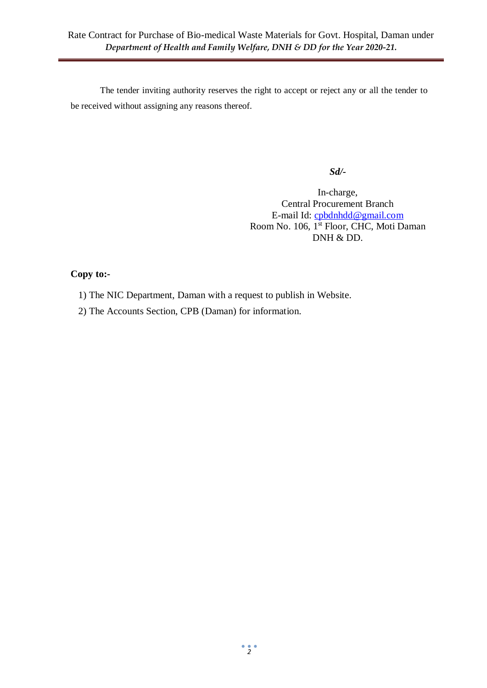The tender inviting authority reserves the right to accept or reject any or all the tender to be received without assigning any reasons thereof.

*Sd/-*

In-charge, Central Procurement Branch E-mail Id: [cpbdnhdd@gmail.com](mailto:cpbdnhdd@gmail.com) Room No. 106, 1<sup>st</sup> Floor, CHC, Moti Daman DNH & DD.

### **Copy to:-**

- 1) The NIC Department, Daman with a request to publish in Website.
- 2) The Accounts Section, CPB (Daman) for information.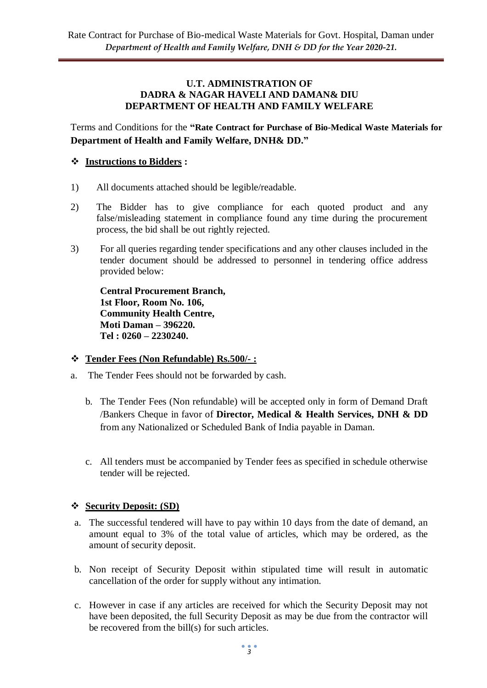#### **U.T. ADMINISTRATION OF DADRA & NAGAR HAVELI AND DAMAN& DIU DEPARTMENT OF HEALTH AND FAMILY WELFARE**

Terms and Conditions for the **"Rate Contract for Purchase of Bio-Medical Waste Materials for Department of Health and Family Welfare, DNH& DD."**

## **Instructions to Bidders :**

- 1) All documents attached should be legible/readable.
- 2) The Bidder has to give compliance for each quoted product and any false/misleading statement in compliance found any time during the procurement process, the bid shall be out rightly rejected.
- 3) For all queries regarding tender specifications and any other clauses included in the tender document should be addressed to personnel in tendering office address provided below:

**Central Procurement Branch, 1st Floor, Room No. 106, Community Health Centre, Moti Daman – 396220. Tel : 0260 – 2230240.**

### **Tender Fees (Non Refundable) Rs.500/- :**

- a. The Tender Fees should not be forwarded by cash.
	- b. The Tender Fees (Non refundable) will be accepted only in form of Demand Draft /Bankers Cheque in favor of **Director, Medical & Health Services, DNH & DD**  from any Nationalized or Scheduled Bank of India payable in Daman.
	- c. All tenders must be accompanied by Tender fees as specified in schedule otherwise tender will be rejected.

### **Security Deposit: (SD)**

- a. The successful tendered will have to pay within 10 days from the date of demand, an amount equal to 3% of the total value of articles, which may be ordered, as the amount of security deposit.
- b. Non receipt of Security Deposit within stipulated time will result in automatic cancellation of the order for supply without any intimation.
- c. However in case if any articles are received for which the Security Deposit may not have been deposited, the full Security Deposit as may be due from the contractor will be recovered from the bill(s) for such articles.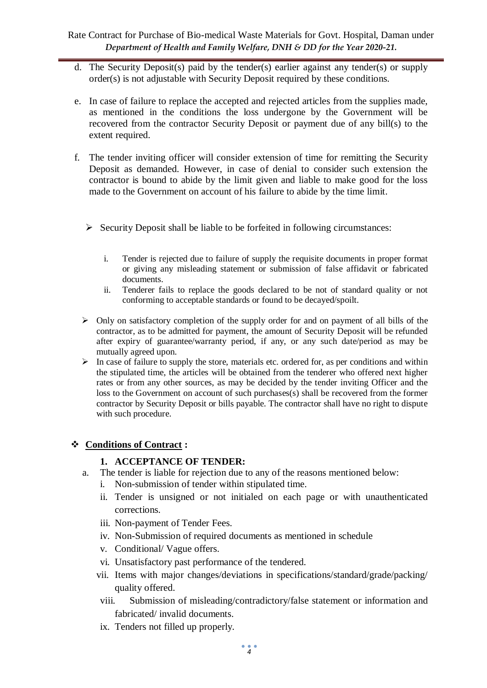- d. The Security Deposit(s) paid by the tender(s) earlier against any tender(s) or supply order(s) is not adjustable with Security Deposit required by these conditions.
- e. In case of failure to replace the accepted and rejected articles from the supplies made, as mentioned in the conditions the loss undergone by the Government will be recovered from the contractor Security Deposit or payment due of any bill(s) to the extent required.
- f. The tender inviting officer will consider extension of time for remitting the Security Deposit as demanded. However, in case of denial to consider such extension the contractor is bound to abide by the limit given and liable to make good for the loss made to the Government on account of his failure to abide by the time limit.
	- $\triangleright$  Security Deposit shall be liable to be forfeited in following circumstances:
		- i. Tender is rejected due to failure of supply the requisite documents in proper format or giving any misleading statement or submission of false affidavit or fabricated documents.
		- ii. Tenderer fails to replace the goods declared to be not of standard quality or not conforming to acceptable standards or found to be decayed/spoilt.
	- $\triangleright$  Only on satisfactory completion of the supply order for and on payment of all bills of the contractor, as to be admitted for payment, the amount of Security Deposit will be refunded after expiry of guarantee/warranty period, if any, or any such date/period as may be mutually agreed upon.
	- $\triangleright$  In case of failure to supply the store, materials etc. ordered for, as per conditions and within the stipulated time, the articles will be obtained from the tenderer who offered next higher rates or from any other sources, as may be decided by the tender inviting Officer and the loss to the Government on account of such purchases(s) shall be recovered from the former contractor by Security Deposit or bills payable. The contractor shall have no right to dispute with such procedure.

# **Conditions of Contract :**

# **1. ACCEPTANCE OF TENDER:**

- a. The tender is liable for rejection due to any of the reasons mentioned below:
	- i. Non-submission of tender within stipulated time.
	- ii. Tender is unsigned or not initialed on each page or with unauthenticated corrections.
	- iii. Non-payment of Tender Fees.
	- iv. Non-Submission of required documents as mentioned in schedule
	- v. Conditional/ Vague offers.
	- vi. Unsatisfactory past performance of the tendered.
	- vii. Items with major changes/deviations in specifications/standard/grade/packing/ quality offered.
	- viii. Submission of misleading/contradictory/false statement or information and fabricated/ invalid documents.
	- ix. Tenders not filled up properly.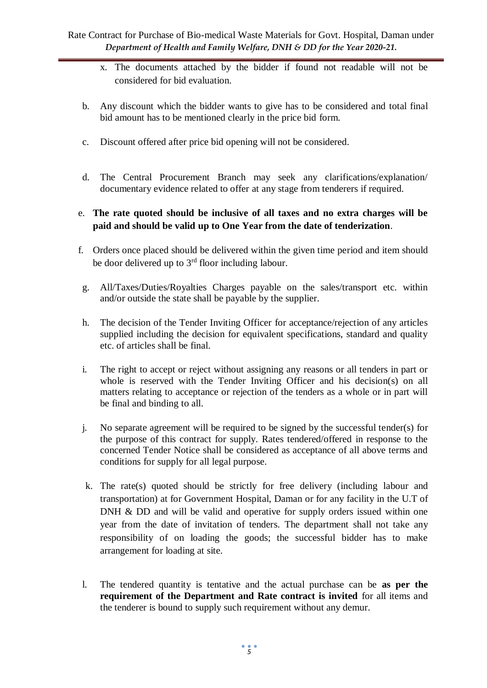- x. The documents attached by the bidder if found not readable will not be considered for bid evaluation.
- b. Any discount which the bidder wants to give has to be considered and total final bid amount has to be mentioned clearly in the price bid form.
- c. Discount offered after price bid opening will not be considered.
- d. The Central Procurement Branch may seek any clarifications/explanation/ documentary evidence related to offer at any stage from tenderers if required.
- e. **The rate quoted should be inclusive of all taxes and no extra charges will be paid and should be valid up to One Year from the date of tenderization**.
- f. Orders once placed should be delivered within the given time period and item should be door delivered up to  $3<sup>rd</sup>$  floor including labour.
- g. All/Taxes/Duties/Royalties Charges payable on the sales/transport etc. within and/or outside the state shall be payable by the supplier.
- h. The decision of the Tender Inviting Officer for acceptance/rejection of any articles supplied including the decision for equivalent specifications, standard and quality etc. of articles shall be final.
- i. The right to accept or reject without assigning any reasons or all tenders in part or whole is reserved with the Tender Inviting Officer and his decision(s) on all matters relating to acceptance or rejection of the tenders as a whole or in part will be final and binding to all.
- j. No separate agreement will be required to be signed by the successful tender(s) for the purpose of this contract for supply. Rates tendered/offered in response to the concerned Tender Notice shall be considered as acceptance of all above terms and conditions for supply for all legal purpose.
- k. The rate(s) quoted should be strictly for free delivery (including labour and transportation) at for Government Hospital, Daman or for any facility in the U.T of DNH & DD and will be valid and operative for supply orders issued within one year from the date of invitation of tenders. The department shall not take any responsibility of on loading the goods; the successful bidder has to make arrangement for loading at site.
- l. The tendered quantity is tentative and the actual purchase can be **as per the requirement of the Department and Rate contract is invited** for all items and the tenderer is bound to supply such requirement without any demur.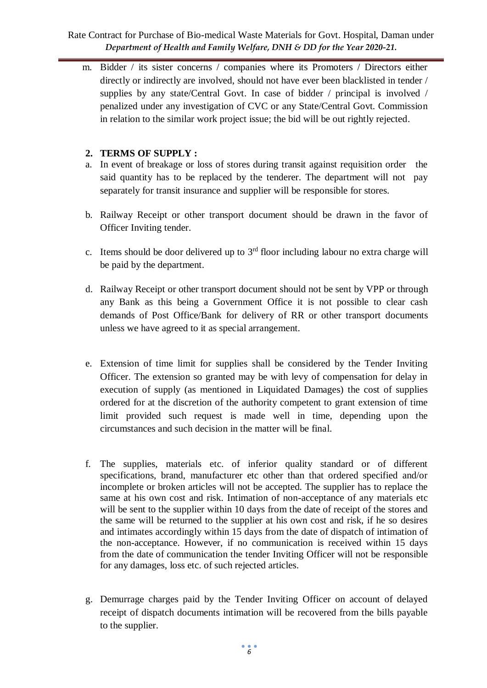### Rate Contract for Purchase of Bio-medical Waste Materials for Govt. Hospital, Daman under *Department of Health and Family Welfare, DNH & DD for the Year 2020-21.*

m. Bidder / its sister concerns / companies where its Promoters / Directors either directly or indirectly are involved, should not have ever been blacklisted in tender / supplies by any state/Central Govt. In case of bidder / principal is involved / penalized under any investigation of CVC or any State/Central Govt. Commission in relation to the similar work project issue; the bid will be out rightly rejected.

### **2. TERMS OF SUPPLY :**

- a. In event of breakage or loss of stores during transit against requisition order the said quantity has to be replaced by the tenderer. The department will not pay separately for transit insurance and supplier will be responsible for stores.
- b. Railway Receipt or other transport document should be drawn in the favor of Officer Inviting tender.
- c. Items should be door delivered up to  $3<sup>rd</sup>$  floor including labour no extra charge will be paid by the department.
- d. Railway Receipt or other transport document should not be sent by VPP or through any Bank as this being a Government Office it is not possible to clear cash demands of Post Office/Bank for delivery of RR or other transport documents unless we have agreed to it as special arrangement.
- e. Extension of time limit for supplies shall be considered by the Tender Inviting Officer. The extension so granted may be with levy of compensation for delay in execution of supply (as mentioned in Liquidated Damages) the cost of supplies ordered for at the discretion of the authority competent to grant extension of time limit provided such request is made well in time, depending upon the circumstances and such decision in the matter will be final.
- f. The supplies, materials etc. of inferior quality standard or of different specifications, brand, manufacturer etc other than that ordered specified and/or incomplete or broken articles will not be accepted. The supplier has to replace the same at his own cost and risk. Intimation of non-acceptance of any materials etc will be sent to the supplier within 10 days from the date of receipt of the stores and the same will be returned to the supplier at his own cost and risk, if he so desires and intimates accordingly within 15 days from the date of dispatch of intimation of the non-acceptance. However, if no communication is received within 15 days from the date of communication the tender Inviting Officer will not be responsible for any damages, loss etc. of such rejected articles.
- g. Demurrage charges paid by the Tender Inviting Officer on account of delayed receipt of dispatch documents intimation will be recovered from the bills payable to the supplier.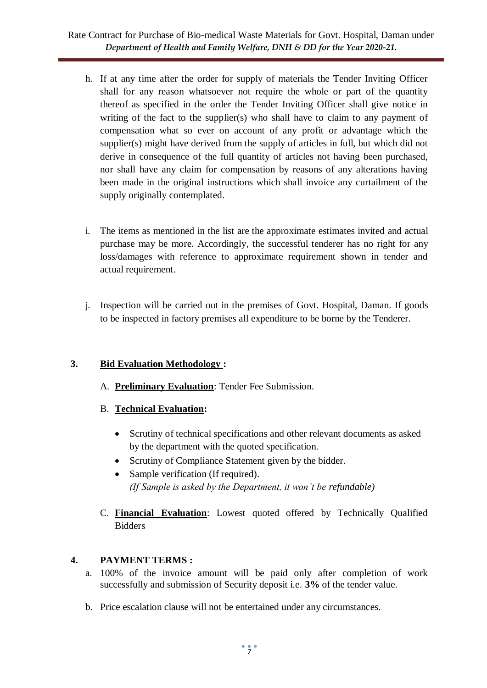# Rate Contract for Purchase of Bio-medical Waste Materials for Govt. Hospital, Daman under *Department of Health and Family Welfare, DNH & DD for the Year 2020-21.*

- h. If at any time after the order for supply of materials the Tender Inviting Officer shall for any reason whatsoever not require the whole or part of the quantity thereof as specified in the order the Tender Inviting Officer shall give notice in writing of the fact to the supplier(s) who shall have to claim to any payment of compensation what so ever on account of any profit or advantage which the supplier(s) might have derived from the supply of articles in full, but which did not derive in consequence of the full quantity of articles not having been purchased, nor shall have any claim for compensation by reasons of any alterations having been made in the original instructions which shall invoice any curtailment of the supply originally contemplated.
- i. The items as mentioned in the list are the approximate estimates invited and actual purchase may be more. Accordingly, the successful tenderer has no right for any loss/damages with reference to approximate requirement shown in tender and actual requirement.
- j. Inspection will be carried out in the premises of Govt. Hospital, Daman. If goods to be inspected in factory premises all expenditure to be borne by the Tenderer.

# **3. Bid Evaluation Methodology :**

A. **Preliminary Evaluation**: Tender Fee Submission.

### B. **Technical Evaluation:**

- Scrutiny of technical specifications and other relevant documents as asked by the department with the quoted specification.
- Scrutiny of Compliance Statement given by the bidder.
- Sample verification (If required). *(If Sample is asked by the Department, it won't be refundable)*
- C. **Financial Evaluation**: Lowest quoted offered by Technically Qualified Bidders

### **4. PAYMENT TERMS :**

- a. 100% of the invoice amount will be paid only after completion of work successfully and submission of Security deposit i.e. **3%** of the tender value.
- b. Price escalation clause will not be entertained under any circumstances.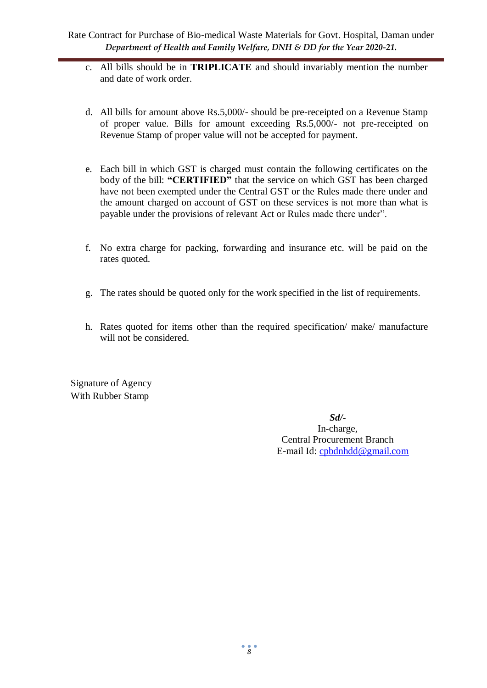- c. All bills should be in **TRIPLICATE** and should invariably mention the number and date of work order.
- d. All bills for amount above Rs.5,000/- should be pre-receipted on a Revenue Stamp of proper value. Bills for amount exceeding Rs.5,000/- not pre-receipted on Revenue Stamp of proper value will not be accepted for payment.
- e. Each bill in which GST is charged must contain the following certificates on the body of the bill: **"CERTIFIED"** that the service on which GST has been charged have not been exempted under the Central GST or the Rules made there under and the amount charged on account of GST on these services is not more than what is payable under the provisions of relevant Act or Rules made there under".
- f. No extra charge for packing, forwarding and insurance etc. will be paid on the rates quoted.
- g. The rates should be quoted only for the work specified in the list of requirements.
- h. Rates quoted for items other than the required specification/ make/ manufacture will not be considered.

Signature of Agency With Rubber Stamp

> *Sd/-* In-charge, Central Procurement Branch E-mail Id: [cpbdnhdd@gmail.com](mailto:cpbdnhdd@gmail.com)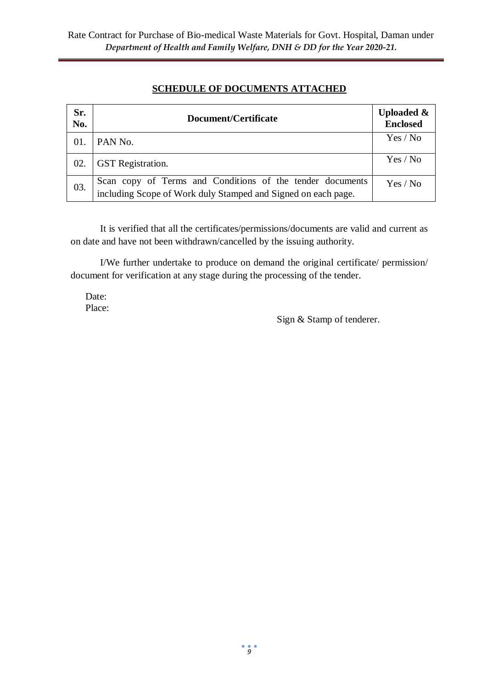# **SCHEDULE OF DOCUMENTS ATTACHED**

| Sr.<br>No. | Document/Certificate                                                                                                       | <b>Uploaded &amp;</b><br><b>Enclosed</b> |
|------------|----------------------------------------------------------------------------------------------------------------------------|------------------------------------------|
| 01.        | PAN No.                                                                                                                    | Yes / No                                 |
| 02.        | <b>GST</b> Registration.                                                                                                   | Yes / No                                 |
| 03.        | Scan copy of Terms and Conditions of the tender documents<br>including Scope of Work duly Stamped and Signed on each page. | Yes / No                                 |

It is verified that all the certificates/permissions/documents are valid and current as on date and have not been withdrawn/cancelled by the issuing authority.

I/We further undertake to produce on demand the original certificate/ permission/ document for verification at any stage during the processing of the tender.

Date: Place:

Sign & Stamp of tenderer.